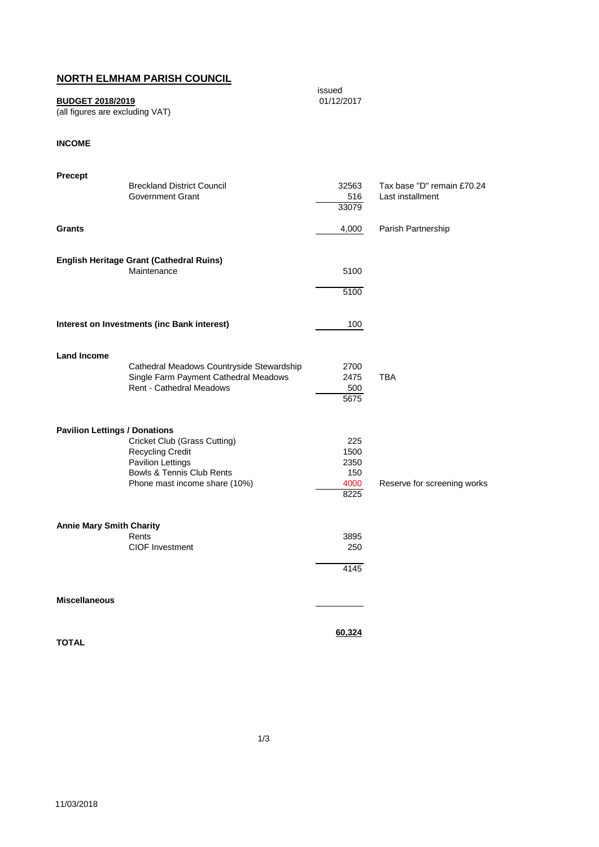## **NORTH ELMHAM PARISH COUNCIL**

## **BUDGET 2018/2019**

(all figures are excluding VAT)

## **INCOME**

| Precept<br>Grants                    | <b>Breckland District Council</b><br><b>Government Grant</b>                                                                                      | 32563<br>516<br>33079<br>4,000             | Tax base "D" remain £70.24<br>Last installment<br>Parish Partnership |
|--------------------------------------|---------------------------------------------------------------------------------------------------------------------------------------------------|--------------------------------------------|----------------------------------------------------------------------|
|                                      | English Heritage Grant (Cathedral Ruins)<br>Maintenance                                                                                           | 5100<br>5100                               |                                                                      |
|                                      | Interest on Investments (inc Bank interest)                                                                                                       | 100                                        |                                                                      |
| <b>Land Income</b>                   | Cathedral Meadows Countryside Stewardship<br>Single Farm Payment Cathedral Meadows<br><b>Rent - Cathedral Meadows</b>                             | 2700<br>2475<br>500<br>5675                | <b>TBA</b>                                                           |
| <b>Pavilion Lettings / Donations</b> | Cricket Club (Grass Cutting)<br><b>Recycling Credit</b><br><b>Pavilion Lettings</b><br>Bowls & Tennis Club Rents<br>Phone mast income share (10%) | 225<br>1500<br>2350<br>150<br>4000<br>8225 | Reserve for screening works                                          |
| <b>Annie Mary Smith Charity</b>      | Rents<br><b>CIOF Investment</b>                                                                                                                   | 3895<br>250<br>4145                        |                                                                      |
| <b>Miscellaneous</b>                 |                                                                                                                                                   |                                            |                                                                      |
| <b>TOTAL</b>                         |                                                                                                                                                   | <u>60,324</u>                              |                                                                      |

issued<br>01/12/2017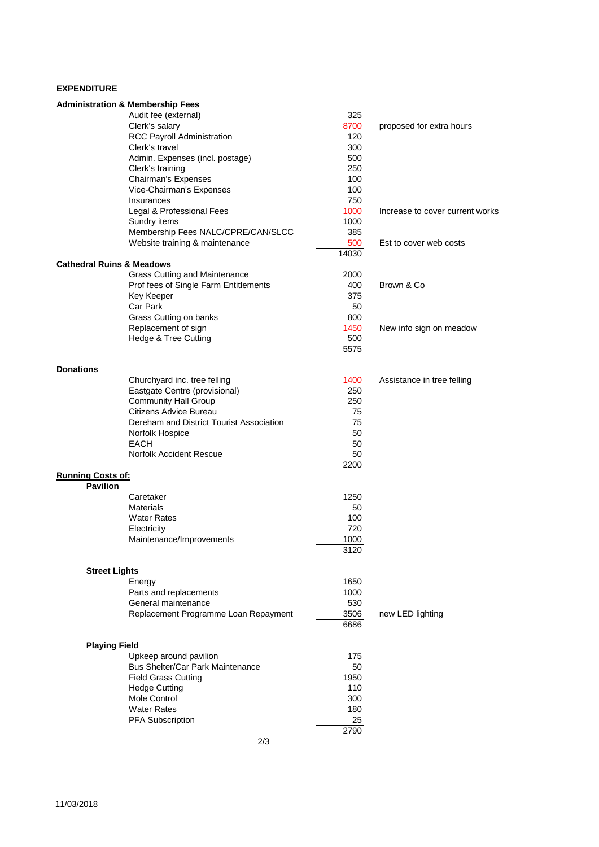## **EXPENDITURE**

|                                      | <b>Administration &amp; Membership Fees</b> |           |                                 |
|--------------------------------------|---------------------------------------------|-----------|---------------------------------|
|                                      | Audit fee (external)                        | 325       |                                 |
|                                      | Clerk's salary                              | 8700      | proposed for extra hours        |
|                                      | RCC Payroll Administration                  | 120       |                                 |
|                                      | Clerk's travel                              | 300       |                                 |
|                                      | Admin. Expenses (incl. postage)             | 500       |                                 |
|                                      | Clerk's training                            | 250       |                                 |
|                                      | Chairman's Expenses                         | 100       |                                 |
|                                      | Vice-Chairman's Expenses                    | 100       |                                 |
|                                      | Insurances                                  | 750       |                                 |
|                                      | Legal & Professional Fees                   | 1000      | Increase to cover current works |
|                                      | Sundry items                                | 1000      |                                 |
|                                      | Membership Fees NALC/CPRE/CAN/SLCC          | 385       |                                 |
|                                      | Website training & maintenance              | 500       | Est to cover web costs          |
| <b>Cathedral Ruins &amp; Meadows</b> |                                             | 14030     |                                 |
|                                      | <b>Grass Cutting and Maintenance</b>        | 2000      |                                 |
|                                      | Prof fees of Single Farm Entitlements       | 400       | Brown & Co                      |
|                                      | Key Keeper                                  | 375       |                                 |
|                                      | Car Park                                    | 50        |                                 |
|                                      | Grass Cutting on banks                      | 800       |                                 |
|                                      | Replacement of sign                         | 1450      | New info sign on meadow         |
|                                      | Hedge & Tree Cutting                        | 500       |                                 |
|                                      |                                             | 5575      |                                 |
|                                      |                                             |           |                                 |
| <b>Donations</b>                     |                                             |           |                                 |
|                                      | Churchyard inc. tree felling                | 1400      | Assistance in tree felling      |
|                                      | Eastgate Centre (provisional)               | 250       |                                 |
|                                      | <b>Community Hall Group</b>                 | 250       |                                 |
|                                      | Citizens Advice Bureau                      | 75        |                                 |
|                                      | Dereham and District Tourist Association    | 75        |                                 |
|                                      | Norfolk Hospice                             | 50        |                                 |
|                                      | <b>EACH</b>                                 | 50        |                                 |
|                                      | Norfolk Accident Rescue                     | 50        |                                 |
|                                      |                                             | 2200      |                                 |
| <b>Running Costs of:</b>             |                                             |           |                                 |
| <b>Pavilion</b>                      | Caretaker                                   | 1250      |                                 |
|                                      | <b>Materials</b>                            |           |                                 |
|                                      |                                             | 50<br>100 |                                 |
|                                      | <b>Water Rates</b>                          | 720       |                                 |
|                                      | Electricity                                 | 1000      |                                 |
|                                      | Maintenance/Improvements                    | 3120      |                                 |
|                                      |                                             |           |                                 |
| <b>Street Lights</b>                 |                                             |           |                                 |
|                                      | Energy                                      | 1650      |                                 |
|                                      | Parts and replacements                      | 1000      |                                 |
|                                      | General maintenance                         | 530       |                                 |
|                                      | Replacement Programme Loan Repayment        | 3506      | new LED lighting                |
|                                      |                                             | 6686      |                                 |
|                                      |                                             |           |                                 |
| <b>Playing Field</b>                 |                                             |           |                                 |
|                                      | Upkeep around pavilion                      | 175       |                                 |
|                                      | Bus Shelter/Car Park Maintenance            | 50        |                                 |
|                                      | <b>Field Grass Cutting</b>                  | 1950      |                                 |
|                                      | <b>Hedge Cutting</b>                        | 110       |                                 |
|                                      | Mole Control                                | 300       |                                 |
|                                      | <b>Water Rates</b>                          | 180       |                                 |
|                                      | <b>PFA Subscription</b>                     | 25        |                                 |
|                                      |                                             | 2790      |                                 |
|                                      | 2/3                                         |           |                                 |